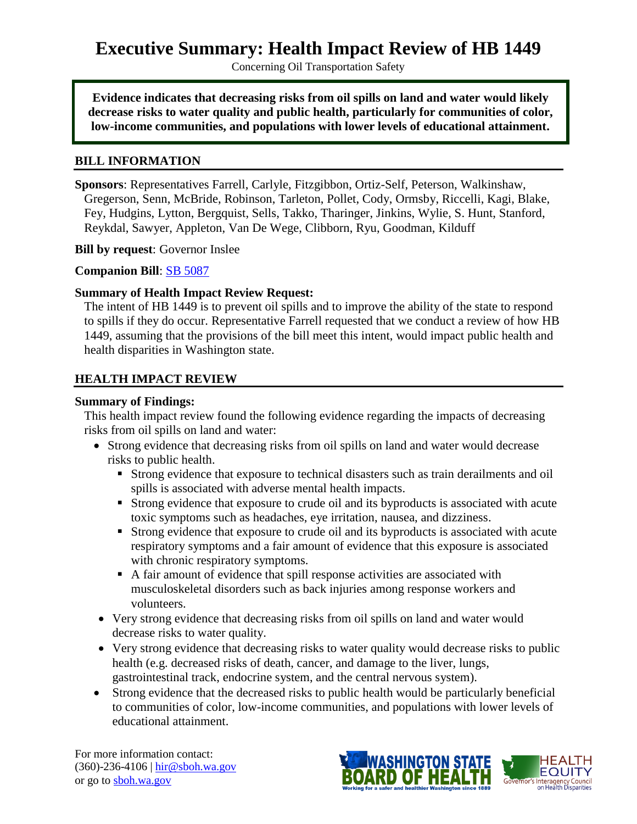# **Executive Summary: Health Impact Review of HB 1449**

Concerning Oil Transportation Safety

**Evidence indicates that decreasing risks from oil spills on land and water would likely decrease risks to water quality and public health, particularly for communities of color, low-income communities, and populations with lower levels of educational attainment.**

#### **BILL INFORMATION**

**Sponsors**: Representatives [Farrell,](http://www.leg.wa.gov/house/representatives/pages/default.aspx#Farrell) [Carlyle,](http://www.leg.wa.gov/house/representatives/pages/default.aspx#Carlyle) [Fitzgibbon,](http://www.leg.wa.gov/house/representatives/pages/default.aspx#Fitzgibbon) [Ortiz-Self,](http://www.leg.wa.gov/house/representatives/pages/default.aspx#Ortiz-Self) [Peterson,](http://www.leg.wa.gov/house/representatives/pages/default.aspx#Peterson) [Walkinshaw,](http://www.leg.wa.gov/house/representatives/pages/default.aspx#Walkinshaw) [Gregerson,](http://www.leg.wa.gov/house/representatives/pages/default.aspx#Gregerson) [Senn,](http://www.leg.wa.gov/house/representatives/pages/default.aspx#Senn) [McBride,](http://www.leg.wa.gov/house/representatives/pages/default.aspx#McBride) [Robinson,](http://www.leg.wa.gov/house/representatives/pages/default.aspx#Robinson) [Tarleton,](http://www.leg.wa.gov/house/representatives/pages/default.aspx#Tarleton) [Pollet,](http://www.leg.wa.gov/house/representatives/pages/default.aspx#Pollet) [Cody,](http://www.leg.wa.gov/house/representatives/pages/default.aspx#Cody) [Ormsby,](http://www.leg.wa.gov/house/representatives/pages/default.aspx#Ormsby) [Riccelli,](http://www.leg.wa.gov/house/representatives/pages/default.aspx#Riccelli) [Kagi,](http://www.leg.wa.gov/house/representatives/pages/default.aspx#Kagi) [Blake,](http://www.leg.wa.gov/house/representatives/pages/default.aspx#Blake) [Fey,](http://www.leg.wa.gov/house/representatives/pages/default.aspx#Fey) [Hudgins,](http://www.leg.wa.gov/house/representatives/pages/default.aspx#Hudgins) [Lytton,](http://www.leg.wa.gov/house/representatives/pages/default.aspx#Lytton) [Bergquist,](http://www.leg.wa.gov/house/representatives/pages/default.aspx#Bergquist) [Sells,](http://www.leg.wa.gov/house/representatives/pages/default.aspx#Sells) [Takko,](http://www.leg.wa.gov/house/representatives/pages/default.aspx#Takko) [Tharinger,](http://www.leg.wa.gov/house/representatives/pages/default.aspx#Tharinger) [Jinkins,](http://www.leg.wa.gov/house/representatives/pages/default.aspx#Jinkins) [Wylie,](http://www.leg.wa.gov/house/representatives/pages/default.aspx#Wylie) [S. Hunt,](http://www.leg.wa.gov/house/representatives/pages/default.aspx#HuntS) [Stanford,](http://www.leg.wa.gov/house/representatives/pages/default.aspx#Stanford) [Reykdal,](http://www.leg.wa.gov/house/representatives/pages/default.aspx#Reykdal) [Sawyer,](http://www.leg.wa.gov/house/representatives/pages/default.aspx#Sawyer) [Appleton,](http://www.leg.wa.gov/house/representatives/pages/default.aspx#Appleton) [Van De Wege,](http://www.leg.wa.gov/house/representatives/pages/default.aspx#VanDeWege) [Clibborn,](http://www.leg.wa.gov/house/representatives/pages/default.aspx#Clibborn) [Ryu,](http://www.leg.wa.gov/house/representatives/pages/default.aspx#Ryu) [Goodman,](http://www.leg.wa.gov/house/representatives/pages/default.aspx#Goodman) [Kilduff](http://www.leg.wa.gov/house/representatives/pages/default.aspx#Kilduff)

**Bill by request**: Governor Inslee

#### **Companion Bill**: [SB 5087](http://app.leg.wa.gov/billinfo/summary.aspx?bill=5087&year=2015)

#### **Summary of Health Impact Review Request:**

The intent of HB 1449 is to prevent oil spills and to improve the ability of the state to respond to spills if they do occur. Representative Farrell requested that we conduct a review of how HB 1449, assuming that the provisions of the bill meet this intent, would impact public health and health disparities in Washington state.

#### **HEALTH IMPACT REVIEW**

#### **Summary of Findings:**

This health impact review found the following evidence regarding the impacts of decreasing risks from oil spills on land and water:

- Strong evidence that decreasing risks from oil spills on land and water would decrease risks to public health.
	- Strong evidence that exposure to technical disasters such as train derailments and oil spills is associated with adverse mental health impacts.
	- Strong evidence that exposure to crude oil and its byproducts is associated with acute toxic symptoms such as headaches, eye irritation, nausea, and dizziness.
	- Strong evidence that exposure to crude oil and its byproducts is associated with acute respiratory symptoms and a fair amount of evidence that this exposure is associated with chronic respiratory symptoms.
	- A fair amount of evidence that spill response activities are associated with musculoskeletal disorders such as back injuries among response workers and volunteers.
- Very strong evidence that decreasing risks from oil spills on land and water would decrease risks to water quality.
- Very strong evidence that decreasing risks to water quality would decrease risks to public health (e.g. decreased risks of death, cancer, and damage to the liver, lungs, gastrointestinal track, endocrine system, and the central nervous system).
- Strong evidence that the decreased risks to public health would be particularly beneficial to communities of color, low-income communities, and populations with lower levels of educational attainment.

For more information contact: (360)-236-4106 | [hir@sboh.wa.gov](mailto:hir@sboh.wa.gov) or go to [sboh.wa.gov](http://sboh.wa.gov/)

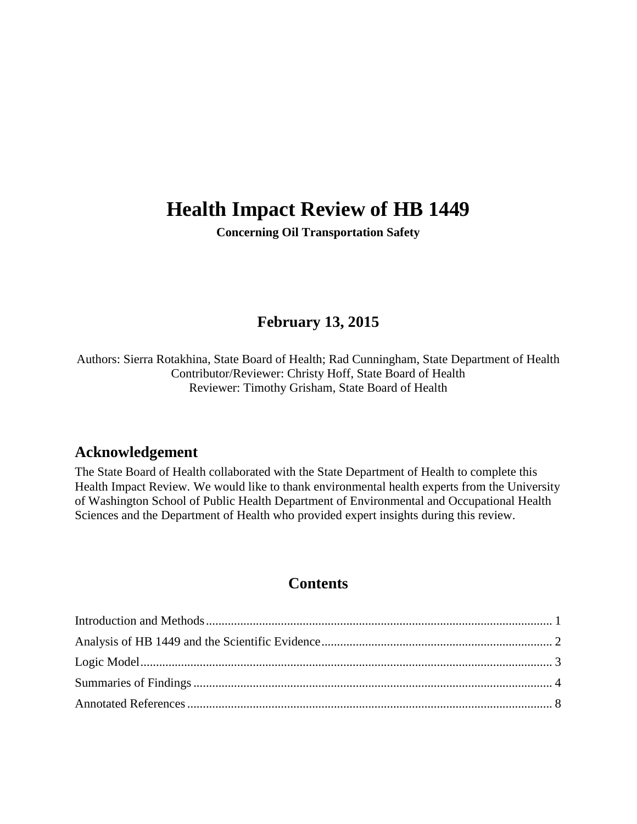# **Health Impact Review of HB 1449**

**Concerning Oil Transportation Safety**

# **February 13, 2015**

Authors: Sierra Rotakhina, State Board of Health; Rad Cunningham, State Department of Health Contributor/Reviewer: Christy Hoff, State Board of Health Reviewer: Timothy Grisham, State Board of Health

## **Acknowledgement**

The State Board of Health collaborated with the State Department of Health to complete this Health Impact Review. We would like to thank environmental health experts from the University of Washington School of Public Health Department of Environmental and Occupational Health Sciences and the Department of Health who provided expert insights during this review.

## **Contents**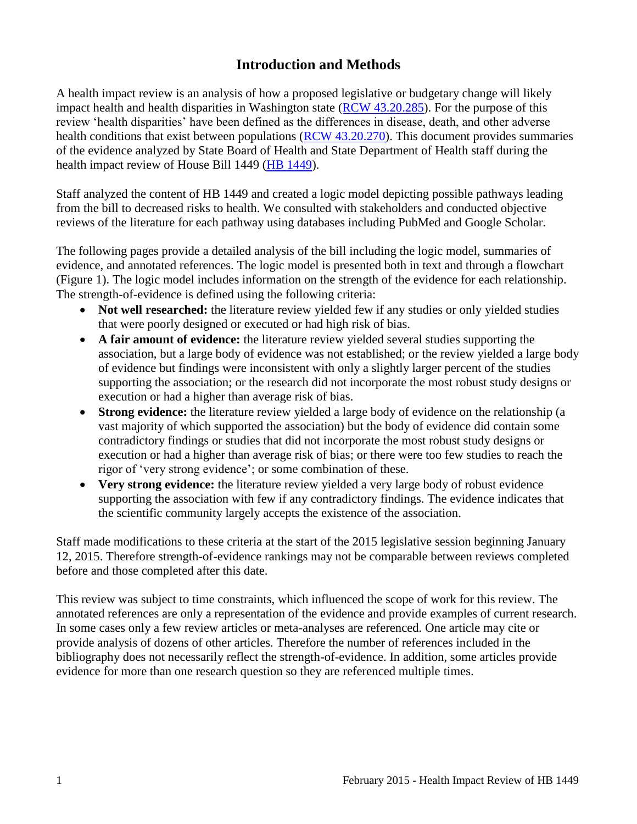## **Introduction and Methods**

<span id="page-2-0"></span>A health impact review is an analysis of how a proposed legislative or budgetary change will likely impact health and health disparities in Washington state [\(RCW 43.20.285\)](http://apps.leg.wa.gov/rcw/default.aspx?cite=43.20.285). For the purpose of this review 'health disparities' have been defined as the differences in disease, death, and other adverse health conditions that exist between populations [\(RCW 43.20.270\)](http://apps.leg.wa.gov/rcw/default.aspx?cite=43.20.270). This document provides summaries of the evidence analyzed by State Board of Health and State Department of Health staff during the health impact review of House Bill 1449 [\(HB 1449\)](http://app.leg.wa.gov/billinfo/summary.aspx?bill=1449&year=2015).

Staff analyzed the content of HB 1449 and created a logic model depicting possible pathways leading from the bill to decreased risks to health. We consulted with stakeholders and conducted objective reviews of the literature for each pathway using databases including PubMed and Google Scholar.

The following pages provide a detailed analysis of the bill including the logic model, summaries of evidence, and annotated references. The logic model is presented both in text and through a flowchart (Figure 1). The logic model includes information on the strength of the evidence for each relationship. The strength-of-evidence is defined using the following criteria:

- Not well researched: the literature review yielded few if any studies or only yielded studies that were poorly designed or executed or had high risk of bias.
- **A fair amount of evidence:** the literature review yielded several studies supporting the association, but a large body of evidence was not established; or the review yielded a large body of evidence but findings were inconsistent with only a slightly larger percent of the studies supporting the association; or the research did not incorporate the most robust study designs or execution or had a higher than average risk of bias.
- **Strong evidence:** the literature review yielded a large body of evidence on the relationship (a vast majority of which supported the association) but the body of evidence did contain some contradictory findings or studies that did not incorporate the most robust study designs or execution or had a higher than average risk of bias; or there were too few studies to reach the rigor of 'very strong evidence'; or some combination of these.
- **Very strong evidence:** the literature review yielded a very large body of robust evidence supporting the association with few if any contradictory findings. The evidence indicates that the scientific community largely accepts the existence of the association.

Staff made modifications to these criteria at the start of the 2015 legislative session beginning January 12, 2015. Therefore strength-of-evidence rankings may not be comparable between reviews completed before and those completed after this date.

This review was subject to time constraints, which influenced the scope of work for this review. The annotated references are only a representation of the evidence and provide examples of current research. In some cases only a few review articles or meta-analyses are referenced. One article may cite or provide analysis of dozens of other articles. Therefore the number of references included in the bibliography does not necessarily reflect the strength-of-evidence. In addition, some articles provide evidence for more than one research question so they are referenced multiple times.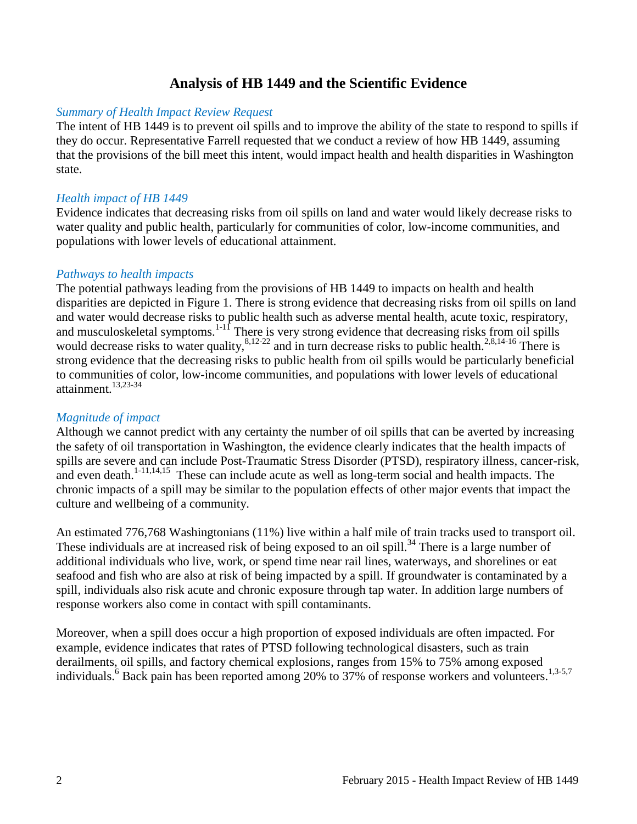## **Analysis of HB 1449 and the Scientific Evidence**

#### <span id="page-3-0"></span>*Summary of Health Impact Review Request*

The intent of HB 1449 is to prevent oil spills and to improve the ability of the state to respond to spills if they do occur. Representative Farrell requested that we conduct a review of how HB 1449, assuming that the provisions of the bill meet this intent, would impact health and health disparities in Washington state.

#### *Health impact of HB 1449*

Evidence indicates that decreasing risks from oil spills on land and water would likely decrease risks to water quality and public health, particularly for communities of color, low-income communities, and populations with lower levels of educational attainment.

#### *Pathways to health impacts*

The potential pathways leading from the provisions of HB 1449 to impacts on health and health disparities are depicted in Figure 1. There is strong evidence that decreasing risks from oil spills on land and water would decrease risks to public health such as adverse mental health, acute toxic, respiratory, and musculoskeletal symptoms. $1-1$ <sup> $\overline{1}$ </sup> There is very strong evidence that decreasing risks from oil spills would decrease risks to water quality, $8,12-22$  $8,12-22$  and in turn decrease risks to public health. $2,8,14-16$  $2,8,14-16$  $2,8,14-16$  There is strong evidence that the decreasing risks to public health from oil spills would be particularly beneficial to communities of color, low-income communities, and populations with lower levels of educational attainment. [13,](#page-13-1)[23-34](#page-17-0)

#### *Magnitude of impact*

Although we cannot predict with any certainty the number of oil spills that can be averted by increasing the safety of oil transportation in Washington, the evidence clearly indicates that the health impacts of spills are severe and can include Post-Traumatic Stress Disorder (PTSD), respiratory illness, cancer-risk, and even death.<sup>[1-11,](#page-9-1)[14,](#page-14-0)[15](#page-14-1)</sup> These can include acute as well as long-term social and health impacts. The chronic impacts of a spill may be similar to the population effects of other major events that impact the culture and wellbeing of a community.

An estimated 776,768 Washingtonians (11%) live within a half mile of train tracks used to transport oil. These individuals are at increased risk of being exposed to an oil spill.<sup>[34](#page-20-0)</sup> There is a large number of additional individuals who live, work, or spend time near rail lines, waterways, and shorelines or eat seafood and fish who are also at risk of being impacted by a spill. If groundwater is contaminated by a spill, individuals also risk acute and chronic exposure through tap water. In addition large numbers of response workers also come in contact with spill contaminants.

Moreover, when a spill does occur a high proportion of exposed individuals are often impacted. For example, evidence indicates that rates of PTSD following technological disasters, such as train derailments, oil spills, and factory chemical explosions, ranges from 15% to 75% among exposed individuals[.](#page-11-1)<sup>6</sup> Back pain has been reported among 20% to 37% of response workers and volunteers.<sup>[1](#page-9-1)[,3-5](#page-9-3)[,7](#page-11-2)</sup>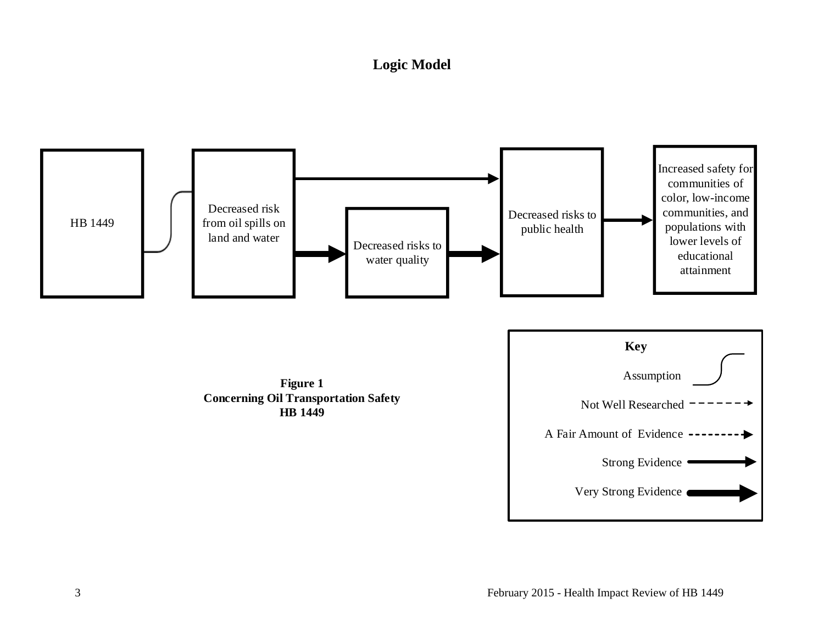# **Logic Model**

<span id="page-4-0"></span>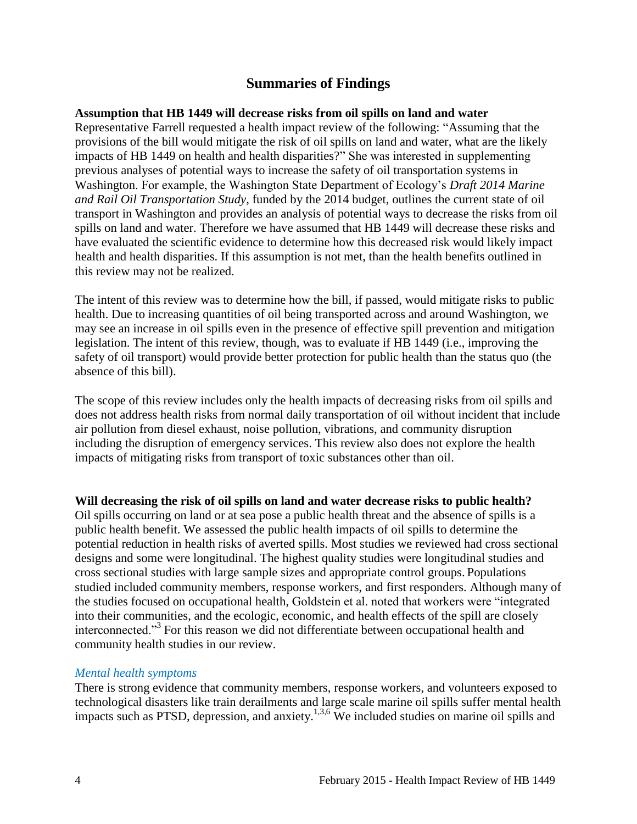## **Summaries of Findings**

#### <span id="page-5-0"></span>**Assumption that HB 1449 will decrease risks from oil spills on land and water**

Representative Farrell requested a health impact review of the following: "Assuming that the provisions of the bill would mitigate the risk of oil spills on land and water, what are the likely impacts of HB 1449 on health and health disparities?" She was interested in supplementing previous analyses of potential ways to increase the safety of oil transportation systems in Washington. For example, the Washington State Department of Ecology's *Draft 2014 Marine and Rail Oil Transportation Study*, funded by the 2014 budget, outlines the current state of oil transport in Washington and provides an analysis of potential ways to decrease the risks from oil spills on land and water. Therefore we have assumed that HB 1449 will decrease these risks and have evaluated the scientific evidence to determine how this decreased risk would likely impact health and health disparities. If this assumption is not met, than the health benefits outlined in this review may not be realized.

The intent of this review was to determine how the bill, if passed, would mitigate risks to public health. Due to increasing quantities of oil being transported across and around Washington, we may see an increase in oil spills even in the presence of effective spill prevention and mitigation legislation. The intent of this review, though, was to evaluate if HB 1449 (i.e., improving the safety of oil transport) would provide better protection for public health than the status quo (the absence of this bill).

The scope of this review includes only the health impacts of decreasing risks from oil spills and does not address health risks from normal daily transportation of oil without incident that include air pollution from diesel exhaust, noise pollution, vibrations, and community disruption including the disruption of emergency services. This review also does not explore the health impacts of mitigating risks from transport of toxic substances other than oil.

#### **Will decreasing the risk of oil spills on land and water decrease risks to public health?**

Oil spills occurring on land or at sea pose a public health threat and the absence of spills is a public health benefit. We assessed the public health impacts of oil spills to determine the potential reduction in health risks of averted spills. Most studies we reviewed had cross sectional designs and some were longitudinal. The highest quality studies were longitudinal studies and cross sectional studies with large sample sizes and appropriate control groups. Populations studied included community members, response workers, and first responders. Although many of the studies focused on occupational health, Goldstein et al. noted that workers were "integrated into their communities, and the ecologic, economic, and health effects of the spill are closely interconnected."[3](#page-9-3) For this reason we did not differentiate between occupational health and community health studies in our review.

#### *Mental health symptoms*

There is strong evidence that community members, response workers, and volunteers exposed to technological disasters like train derailments and large scale marine oil spills suffer mental health impacts such as PTSD, depression, and anxiety.<sup>[1,](#page-9-1)[3,](#page-9-3)[6](#page-11-1)</sup> We included studies on marine oil spills and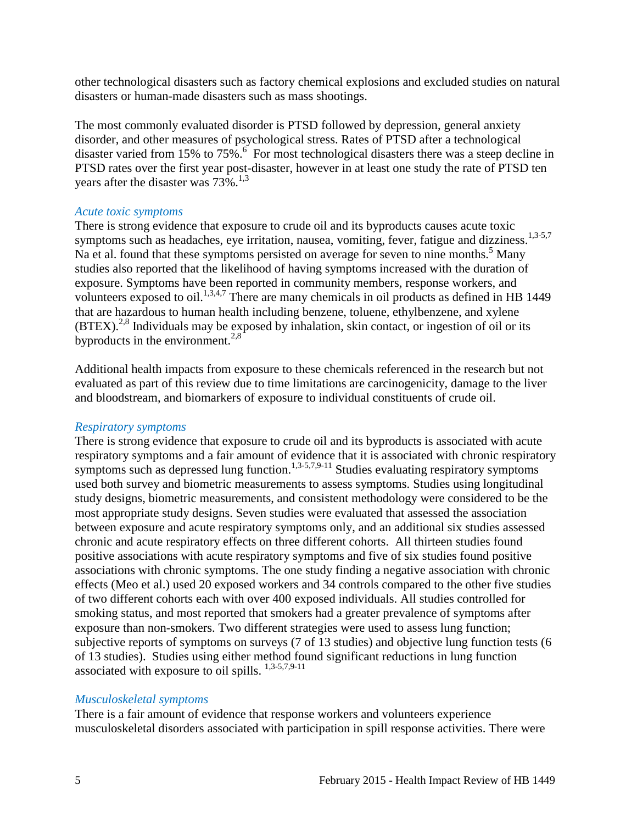other technological disasters such as factory chemical explosions and excluded studies on natural disasters or human-made disasters such as mass shootings.

The most commonly evaluated disorder is PTSD followed by depression, general anxiety disorder, and other measures of psychological stress. Rates of PTSD after a technological disastervaried from 15% to 75%.<sup>6</sup> For most technological disasters there was a steep decline in PTSD rates over the first year post-disaster, however in at least one study the rate of PTSD ten years after the disaster was  $73\%$  $73\%$  $73\%$ .<sup>[1,](#page-9-1)3</sup>

#### *Acute toxic symptoms*

There is strong evidence that exposure to crude oil and its byproducts causes acute toxic symptoms such as headaches, eye irritation, nausea, vomiting, fever, fatigue and dizziness.<sup>[1,](#page-9-1)[3-5](#page-9-3)[,7](#page-11-2)</sup> Na et al. found that these symptoms persisted on average for seven to nine months.<sup>[5](#page-10-0)</sup> Many studies also reported that the likelihood of having symptoms increased with the duration of exposure. Symptoms have been reported in community members, response workers, and volunteers exposed to oil.<sup>[1,](#page-9-1)[3,](#page-9-3)[4,](#page-10-1)[7](#page-11-2)</sup> There are many chemicals in oil products as defined in HB 1449 that are hazardous to human health including benzene, toluene, ethylbenzene, and xylene  $(BTEX)$ <sup>[2,](#page-9-2)[8](#page-11-0)</sup> Individuals may be exposed by inhalation, skin contact, or ingestion of oil or its byproducts in the environment.<sup>[2](#page-9-2)[,8](#page-11-0)</sup>

Additional health impacts from exposure to these chemicals referenced in the research but not evaluated as part of this review due to time limitations are carcinogenicity, damage to the liver and bloodstream, and biomarkers of exposure to individual constituents of crude oil.

#### *Respiratory symptoms*

There is strong evidence that exposure to crude oil and its byproducts is associated with acute respiratory symptoms and a fair amount of evidence that it is associated with chronic respiratory symptoms such as depressed lung function.<sup>[1](#page-9-1)[,3-5,](#page-9-3)[7,](#page-11-2)[9-11](#page-12-0)</sup> Studies evaluating respiratory symptoms used both survey and biometric measurements to assess symptoms. Studies using longitudinal study designs, biometric measurements, and consistent methodology were considered to be the most appropriate study designs. Seven studies were evaluated that assessed the association between exposure and acute respiratory symptoms only, and an additional six studies assessed chronic and acute respiratory effects on three different cohorts. All thirteen studies found positive associations with acute respiratory symptoms and five of six studies found positive associations with chronic symptoms. The one study finding a negative association with chronic effects (Meo et al.) used 20 exposed workers and 34 controls compared to the other five studies of two different cohorts each with over 400 exposed individuals. All studies controlled for smoking status, and most reported that smokers had a greater prevalence of symptoms after exposure than non-smokers. Two different strategies were used to assess lung function; subjective reports of symptoms on surveys (7 of 13 studies) and objective lung function tests (6 of 13 studies). Studies using either method found significant reductions in lung function associated with exposure to oil spills. [1,](#page-9-1)[3-5](#page-9-3)[,7](#page-11-2)[,9-11](#page-12-0)

#### *Musculoskeletal symptoms*

There is a fair amount of evidence that response workers and volunteers experience musculoskeletal disorders associated with participation in spill response activities. There were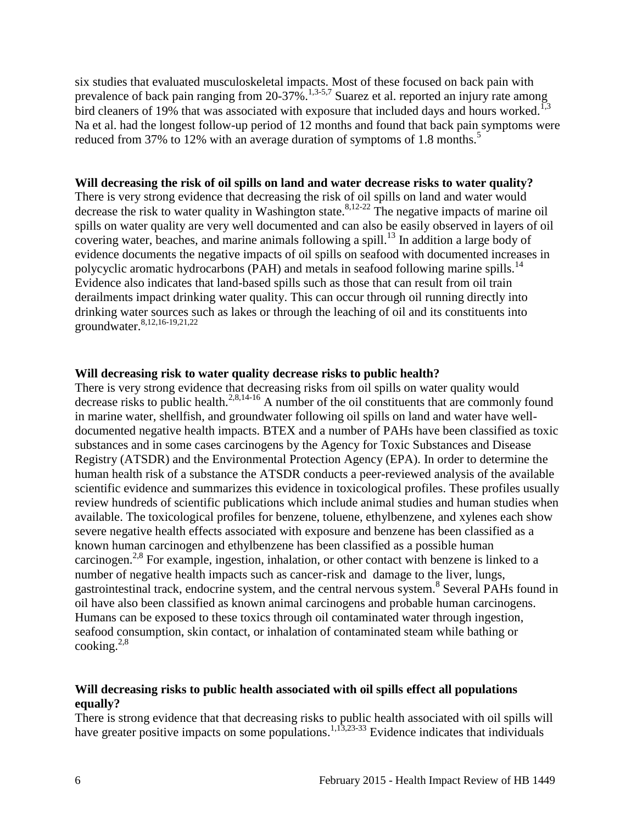six studies that evaluated musculoskeletal impacts. Most of these focused on back pain with prevalence of back pain ranging from 20-37%.<sup>[1](#page-9-1)[,3-5](#page-9-3)[,7](#page-11-2)</sup> Suarez et al. reported an injury rate among bird cleaners of 19% that was associated with exposure that included days and hours worked.<sup>[1,](#page-9-1)[3](#page-9-3)</sup> Na et al. had the longest follow-up period of 12 months and found that back pain symptoms were reduced from 37% to 12% with an average duration of symptoms of 1[.](#page-10-0)8 months.<sup>5</sup>

#### **Will decreasing the risk of oil spills on land and water decrease risks to water quality?**

There is very strong evidence that decreasing the risk of oil spills on land and water would decrease the risk to water quality in Washington state. [8,](#page-11-0)[12-22](#page-13-0) The negative impacts of marine oil spills on water quality are very well documented and can also be easily observed in layers of oil covering water, beaches, and marine animals following a spill. [13](#page-13-1) In addition a large body of evidence documents the negative impacts of oil spills on seafood with documented increases in polycyclic aromatic hydrocarbons (PAH) and metals in seafood following marine spills.<sup>[14](#page-14-0)</sup> Evidence also indicates that land-based spills such as those that can result from oil train derailments impact drinking water quality. This can occur through oil running directly into drinking water sources such as lakes or through the leaching of oil and its constituents into groundwater.<sup>[8,](#page-11-0)[12,](#page-13-0)[16-19,](#page-14-2)[21,](#page-16-0)[22](#page-17-1)</sup>

#### **Will decreasing risk to water quality decrease risks to public health?**

There is very strong evidence that decreasing risks from oil spills on water quality would decrease risks to public health.<sup>[2,](#page-9-2)[8,](#page-11-0)[14-16](#page-14-0)</sup> A number of the oil constituents that are commonly found in marine water, shellfish, and groundwater following oil spills on land and water have welldocumented negative health impacts. BTEX and a number of PAHs have been classified as toxic substances and in some cases carcinogens by the Agency for Toxic Substances and Disease Registry (ATSDR) and the Environmental Protection Agency (EPA). In order to determine the human health risk of a substance the ATSDR conducts a peer-reviewed analysis of the available scientific evidence and summarizes this evidence in toxicological profiles. These profiles usually review hundreds of scientific publications which include animal studies and human studies when available. The toxicological profiles for benzene, toluene, ethylbenzene, and xylenes each show severe negative health effects associated with exposure and benzene has been classified as a known human carcinogen and ethylbenzene has been classified as a possible human carcinogen.<sup>[2,](#page-9-2)[8](#page-11-0)</sup> For example, ingestion, inhalation, or other contact with benzene is linked to a number of negative health impacts such as cancer-risk and damage to the liver, lungs, gastrointestinal track, endocrine system, and the central nervous system.<sup>[8](#page-11-0)</sup> Several PAHs found in oil have also been classified as known animal carcinogens and probable human carcinogens. Humans can be exposed to these toxics through oil contaminated water through ingestion, seafood consumption, skin contact, or inhalation of contaminated steam while bathing or cooking. $2,8$  $2,8$ 

#### **Will decreasing risks to public health associated with oil spills effect all populations equally?**

There is strong evidence that that decreasing risks to public health associated with oil spills will have greater positive impacts on some populations.<sup>[1,](#page-9-1)[13,](#page-13-1)[23-33](#page-17-0)</sup> Evidence indicates that individuals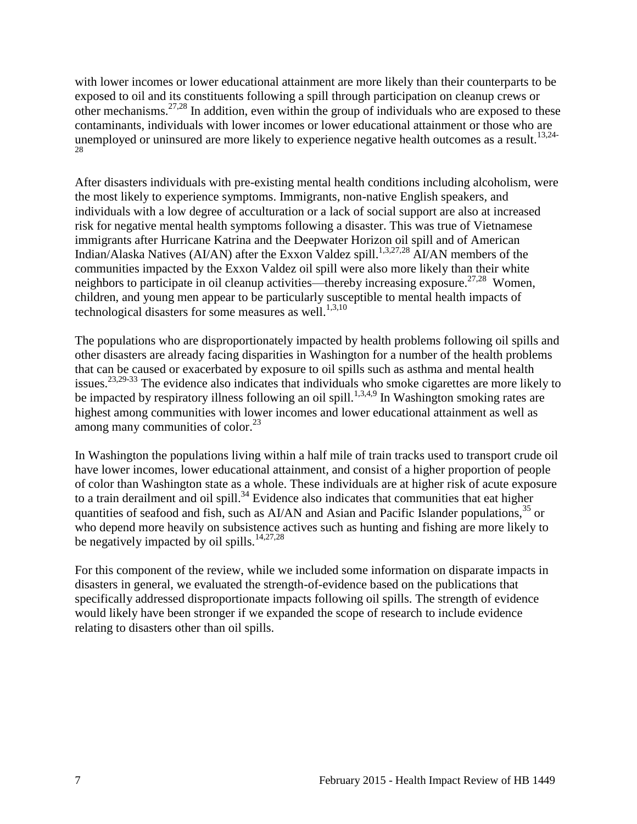with lower incomes or lower educational attainment are more likely than their counterparts to be exposed to oil and its constituents following a spill through participation on cleanup crews or other mechanisms.<sup>[27](#page-18-0)[,28](#page-19-0)</sup> In addition, even within the group of individuals who are exposed to these contaminants, individuals with lower incomes or lower educational attainment or those who are unemployed or uninsured are more likely to experience negative health outcomes as a result.<sup>[13,](#page-13-1)[24-](#page-17-2)</sup>

After disasters individuals with pre-existing mental health conditions including alcoholism, were the most likely to experience symptoms. Immigrants, non-native English speakers, and individuals with a low degree of acculturation or a lack of social support are also at increased risk for negative mental health symptoms following a disaster. This was true of Vietnamese immigrants after Hurricane Katrina and the Deepwater Horizon oil spill and of American Indian/Alaska Natives (AI/AN) after the Exxon Valdez spill.<sup>[1](#page-9-1)[,3](#page-9-3)[,27](#page-18-0)[,28](#page-19-0)</sup> AI/AN members of the communities impacted by the Exxon Valdez oil spill were also more likely than their white neighbors to participate in oil cleanup activities—thereby increasing exposure.<sup>[27,](#page-18-0)[28](#page-19-0)</sup> Women, children, and young men appear to be particularly susceptible to mental health impacts of technological disasters for some measures as well. [1,](#page-9-1)[3,](#page-9-3)[10](#page-12-1)

The populations who are disproportionately impacted by health problems following oil spills and other disasters are already facing disparities in Washington for a number of the health problems that can be caused or exacerbated by exposure to oil spills such as asthma and mental health issues.[23,](#page-17-0)[29-33](#page-19-1) The evidence also indicates that individuals who smoke cigarettes are more likely to be impacted by respiratory illness following an oil spill.<sup>[1,](#page-9-1)[3,](#page-9-3)[4,](#page-10-1)[9](#page-12-0)</sup> In Washington smoking rates are highest among communities with lower incomes and lower educational attainment as well as among many communities of color. $^{23}$  $^{23}$  $^{23}$ 

In Washington the populations living within a half mile of train tracks used to transport crude oil have lower incomes, lower educational attainment, and consist of a higher proportion of people of color than Washington state as a whole. These individuals are at higher risk of acute exposure to a train derailment and oil spill.<sup>[34](#page-20-0)</sup> Evidence also indicates that communities that eat higher quantities of seafood and fish, such as  $A I/AN$  and Asian and Pacific Islander populations,  $35$  or who depend more heavily on subsistence actives such as hunting and fishing are more likely to be negatively impacted by oil spills.<sup>[14,](#page-14-0)[27,](#page-18-0)[28](#page-19-0)</sup>

For this component of the review, while we included some information on disparate impacts in disasters in general, we evaluated the strength-of-evidence based on the publications that specifically addressed disproportionate impacts following oil spills. The strength of evidence would likely have been stronger if we expanded the scope of research to include evidence relating to disasters other than oil spills.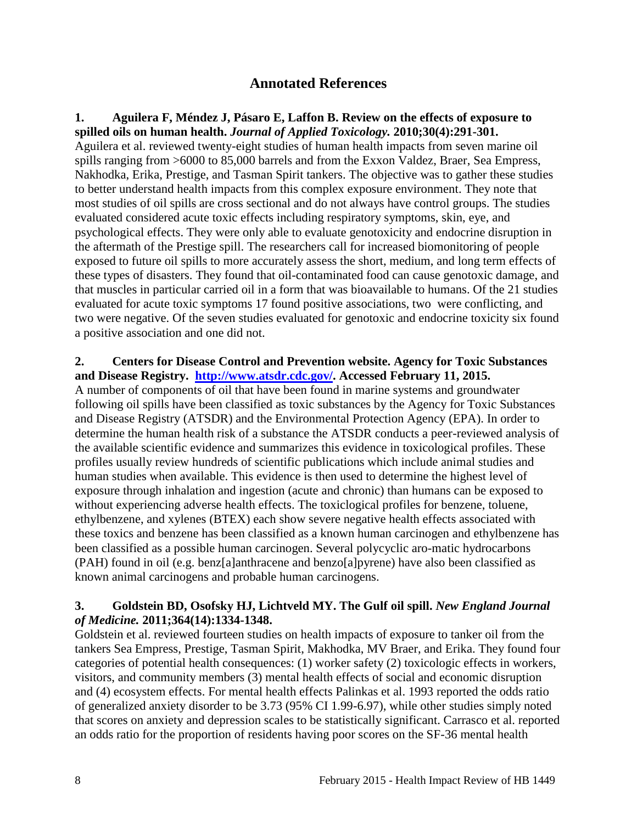## **Annotated References**

<span id="page-9-1"></span><span id="page-9-0"></span>**1. Aguilera F, Méndez J, Pásaro E, Laffon B. Review on the effects of exposure to spilled oils on human health.** *Journal of Applied Toxicology.* **2010;30(4):291-301.** Aguilera et al. reviewed twenty-eight studies of human health impacts from seven marine oil spills ranging from >6000 to 85,000 barrels and from the Exxon Valdez, Braer, Sea Empress, Nakhodka, Erika, Prestige, and Tasman Spirit tankers. The objective was to gather these studies to better understand health impacts from this complex exposure environment. They note that most studies of oil spills are cross sectional and do not always have control groups. The studies evaluated considered acute toxic effects including respiratory symptoms, skin, eye, and psychological effects. They were only able to evaluate genotoxicity and endocrine disruption in the aftermath of the Prestige spill. The researchers call for increased biomonitoring of people exposed to future oil spills to more accurately assess the short, medium, and long term effects of these types of disasters. They found that oil-contaminated food can cause genotoxic damage, and that muscles in particular carried oil in a form that was bioavailable to humans. Of the 21 studies evaluated for acute toxic symptoms 17 found positive associations, two were conflicting, and two were negative. Of the seven studies evaluated for genotoxic and endocrine toxicity six found a positive association and one did not.

#### <span id="page-9-2"></span>**2. Centers for Disease Control and Prevention website. Agency for Toxic Substances and Disease Registry. [http://www.atsdr.cdc.gov/.](http://www.atsdr.cdc.gov/) Accessed February 11, 2015.**

A number of components of oil that have been found in marine systems and groundwater following oil spills have been classified as toxic substances by the Agency for Toxic Substances and Disease Registry (ATSDR) and the Environmental Protection Agency (EPA). In order to determine the human health risk of a substance the ATSDR conducts a peer-reviewed analysis of the available scientific evidence and summarizes this evidence in toxicological profiles. These profiles usually review hundreds of scientific publications which include animal studies and human studies when available. This evidence is then used to determine the highest level of exposure through inhalation and ingestion (acute and chronic) than humans can be exposed to without experiencing adverse health effects. The toxiclogical profiles for benzene, toluene, ethylbenzene, and xylenes (BTEX) each show severe negative health effects associated with these toxics and benzene has been classified as a known human carcinogen and ethylbenzene has been classified as a possible human carcinogen. Several polycyclic aro-matic hydrocarbons (PAH) found in oil (e.g. benz[a]anthracene and benzo[a]pyrene) have also been classified as known animal carcinogens and probable human carcinogens.

#### <span id="page-9-3"></span>**3. Goldstein BD, Osofsky HJ, Lichtveld MY. The Gulf oil spill.** *New England Journal of Medicine.* **2011;364(14):1334-1348.**

Goldstein et al. reviewed fourteen studies on health impacts of exposure to tanker oil from the tankers Sea Empress, Prestige, Tasman Spirit, Makhodka, MV Braer, and Erika. They found four categories of potential health consequences: (1) worker safety (2) toxicologic effects in workers, visitors, and community members (3) mental health effects of social and economic disruption and (4) ecosystem effects. For mental health effects Palinkas et al. 1993 reported the odds ratio of generalized anxiety disorder to be 3.73 (95% CI 1.99-6.97), while other studies simply noted that scores on anxiety and depression scales to be statistically significant. Carrasco et al. reported an odds ratio for the proportion of residents having poor scores on the SF-36 mental health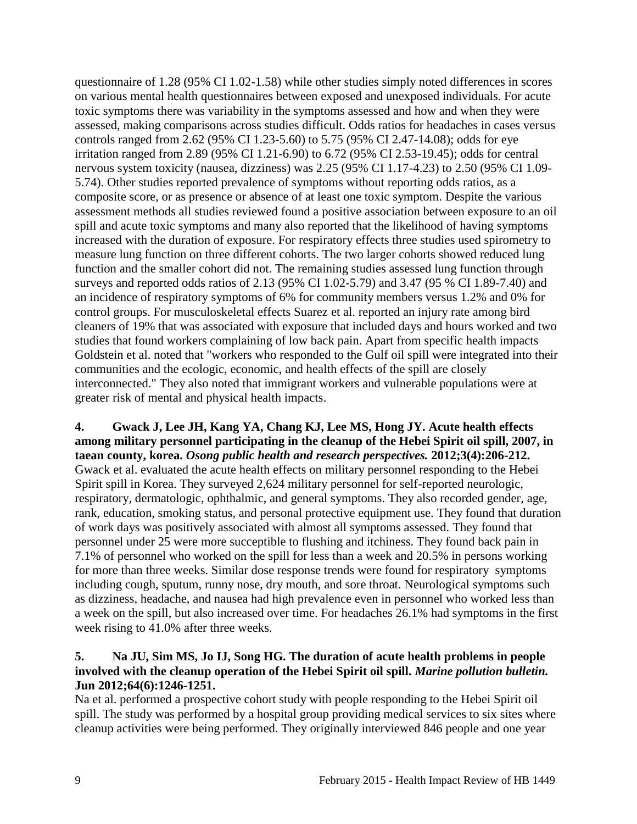questionnaire of 1.28 (95% CI 1.02-1.58) while other studies simply noted differences in scores on various mental health questionnaires between exposed and unexposed individuals. For acute toxic symptoms there was variability in the symptoms assessed and how and when they were assessed, making comparisons across studies difficult. Odds ratios for headaches in cases versus controls ranged from 2.62 (95% CI 1.23-5.60) to 5.75 (95% CI 2.47-14.08); odds for eye irritation ranged from 2.89 (95% CI 1.21-6.90) to 6.72 (95% CI 2.53-19.45); odds for central nervous system toxicity (nausea, dizziness) was 2.25 (95% CI 1.17-4.23) to 2.50 (95% CI 1.09- 5.74). Other studies reported prevalence of symptoms without reporting odds ratios, as a composite score, or as presence or absence of at least one toxic symptom. Despite the various assessment methods all studies reviewed found a positive association between exposure to an oil spill and acute toxic symptoms and many also reported that the likelihood of having symptoms increased with the duration of exposure. For respiratory effects three studies used spirometry to measure lung function on three different cohorts. The two larger cohorts showed reduced lung function and the smaller cohort did not. The remaining studies assessed lung function through surveys and reported odds ratios of 2.13 (95% CI 1.02-5.79) and 3.47 (95 % CI 1.89-7.40) and an incidence of respiratory symptoms of 6% for community members versus 1.2% and 0% for control groups. For musculoskeletal effects Suarez et al. reported an injury rate among bird cleaners of 19% that was associated with exposure that included days and hours worked and two studies that found workers complaining of low back pain. Apart from specific health impacts Goldstein et al. noted that "workers who responded to the Gulf oil spill were integrated into their communities and the ecologic, economic, and health effects of the spill are closely interconnected." They also noted that immigrant workers and vulnerable populations were at greater risk of mental and physical health impacts.

<span id="page-10-1"></span>**4. Gwack J, Lee JH, Kang YA, Chang KJ, Lee MS, Hong JY. Acute health effects among military personnel participating in the cleanup of the Hebei Spirit oil spill, 2007, in taean county, korea.** *Osong public health and research perspectives.* **2012;3(4):206-212.** Gwack et al. evaluated the acute health effects on military personnel responding to the Hebei Spirit spill in Korea. They surveyed 2,624 military personnel for self-reported neurologic, respiratory, dermatologic, ophthalmic, and general symptoms. They also recorded gender, age, rank, education, smoking status, and personal protective equipment use. They found that duration of work days was positively associated with almost all symptoms assessed. They found that personnel under 25 were more succeptible to flushing and itchiness. They found back pain in 7.1% of personnel who worked on the spill for less than a week and 20.5% in persons working for more than three weeks. Similar dose response trends were found for respiratory symptoms including cough, sputum, runny nose, dry mouth, and sore throat. Neurological symptoms such as dizziness, headache, and nausea had high prevalence even in personnel who worked less than a week on the spill, but also increased over time. For headaches 26.1% had symptoms in the first week rising to 41.0% after three weeks.

## <span id="page-10-0"></span>**5. Na JU, Sim MS, Jo IJ, Song HG. The duration of acute health problems in people involved with the cleanup operation of the Hebei Spirit oil spill.** *Marine pollution bulletin.*  **Jun 2012;64(6):1246-1251.**

Na et al. performed a prospective cohort study with people responding to the Hebei Spirit oil spill. The study was performed by a hospital group providing medical services to six sites where cleanup activities were being performed. They originally interviewed 846 people and one year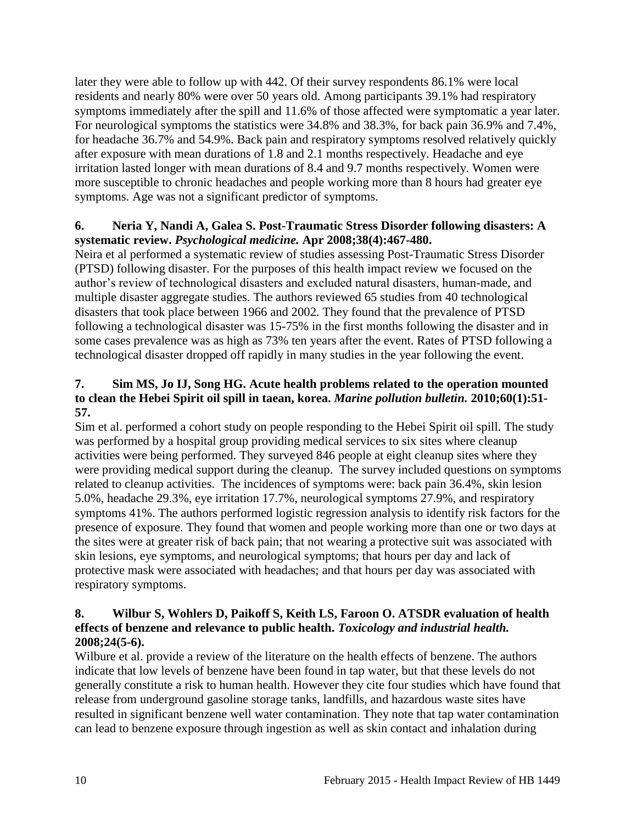later they were able to follow up with 442. Of their survey respondents 86.1% were local residents and nearly 80% were over 50 years old. Among participants 39.1% had respiratory symptoms immediately after the spill and 11.6% of those affected were symptomatic a year later. For neurological symptoms the statistics were 34.8% and 38.3%, for back pain 36.9% and 7.4%, for headache 36.7% and 54.9%. Back pain and respiratory symptoms resolved relatively quickly after exposure with mean durations of 1.8 and 2.1 months respectively. Headache and eye irritation lasted longer with mean durations of 8.4 and 9.7 months respectively. Women were more susceptible to chronic headaches and people working more than 8 hours had greater eye symptoms. Age was not a significant predictor of symptoms.

#### <span id="page-11-1"></span>**6. Neria Y, Nandi A, Galea S. Post-Traumatic Stress Disorder following disasters: A systematic review.** *Psychological medicine.* **Apr 2008;38(4):467-480.**

Neira et al performed a systematic review of studies assessing Post-Traumatic Stress Disorder (PTSD) following disaster. For the purposes of this health impact review we focused on the author's review of technological disasters and excluded natural disasters, human-made, and multiple disaster aggregate studies. The authors reviewed 65 studies from 40 technological disasters that took place between 1966 and 2002. They found that the prevalence of PTSD following a technological disaster was 15-75% in the first months following the disaster and in some cases prevalence was as high as 73% ten years after the event. Rates of PTSD following a technological disaster dropped off rapidly in many studies in the year following the event.

## <span id="page-11-2"></span>**7. Sim MS, Jo IJ, Song HG. Acute health problems related to the operation mounted to clean the Hebei Spirit oil spill in taean, korea.** *Marine pollution bulletin.* **2010;60(1):51- 57.**

Sim et al. performed a cohort study on people responding to the Hebei Spirit oil spill. The study was performed by a hospital group providing medical services to six sites where cleanup activities were being performed. They surveyed 846 people at eight cleanup sites where they were providing medical support during the cleanup. The survey included questions on symptoms related to cleanup activities. The incidences of symptoms were: back pain 36.4%, skin lesion 5.0%, headache 29.3%, eye irritation 17.7%, neurological symptoms 27.9%, and respiratory symptoms 41%. The authors performed logistic regression analysis to identify risk factors for the presence of exposure. They found that women and people working more than one or two days at the sites were at greater risk of back pain; that not wearing a protective suit was associated with skin lesions, eye symptoms, and neurological symptoms; that hours per day and lack of protective mask were associated with headaches; and that hours per day was associated with respiratory symptoms.

#### <span id="page-11-0"></span>**8. Wilbur S, Wohlers D, Paikoff S, Keith LS, Faroon O. ATSDR evaluation of health effects of benzene and relevance to public health.** *Toxicology and industrial health.*  **2008;24(5-6).**

Wilbure et al. provide a review of the literature on the health effects of benzene. The authors indicate that low levels of benzene have been found in tap water, but that these levels do not generally constitute a risk to human health. However they cite four studies which have found that release from underground gasoline storage tanks, landfills, and hazardous waste sites have resulted in significant benzene well water contamination. They note that tap water contamination can lead to benzene exposure through ingestion as well as skin contact and inhalation during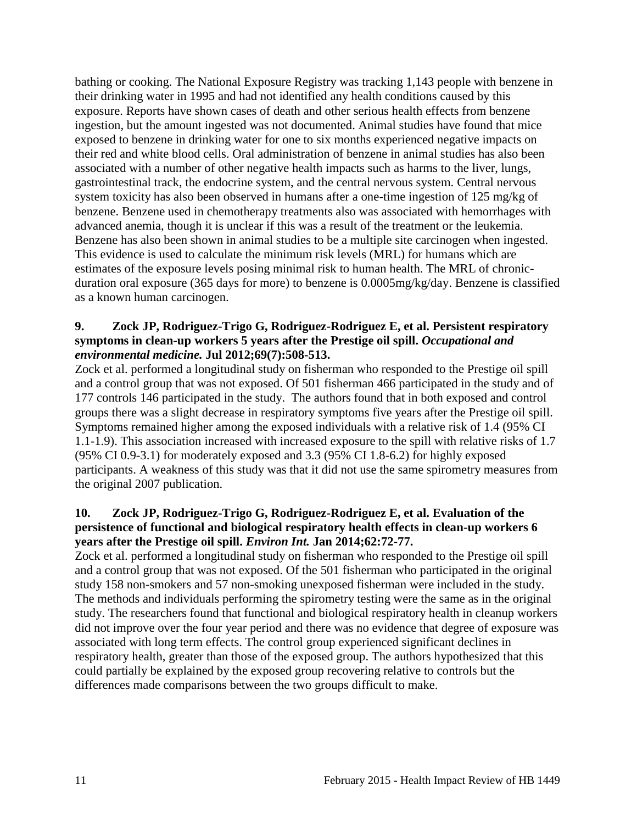bathing or cooking. The National Exposure Registry was tracking 1,143 people with benzene in their drinking water in 1995 and had not identified any health conditions caused by this exposure. Reports have shown cases of death and other serious health effects from benzene ingestion, but the amount ingested was not documented. Animal studies have found that mice exposed to benzene in drinking water for one to six months experienced negative impacts on their red and white blood cells. Oral administration of benzene in animal studies has also been associated with a number of other negative health impacts such as harms to the liver, lungs, gastrointestinal track, the endocrine system, and the central nervous system. Central nervous system toxicity has also been observed in humans after a one-time ingestion of 125 mg/kg of benzene. Benzene used in chemotherapy treatments also was associated with hemorrhages with advanced anemia, though it is unclear if this was a result of the treatment or the leukemia. Benzene has also been shown in animal studies to be a multiple site carcinogen when ingested. This evidence is used to calculate the minimum risk levels (MRL) for humans which are estimates of the exposure levels posing minimal risk to human health. The MRL of chronicduration oral exposure (365 days for more) to benzene is 0.0005mg/kg/day. Benzene is classified as a known human carcinogen.

#### <span id="page-12-0"></span>**9. Zock JP, Rodriguez-Trigo G, Rodriguez-Rodriguez E, et al. Persistent respiratory symptoms in clean-up workers 5 years after the Prestige oil spill.** *Occupational and environmental medicine.* **Jul 2012;69(7):508-513.**

Zock et al. performed a longitudinal study on fisherman who responded to the Prestige oil spill and a control group that was not exposed. Of 501 fisherman 466 participated in the study and of 177 controls 146 participated in the study. The authors found that in both exposed and control groups there was a slight decrease in respiratory symptoms five years after the Prestige oil spill. Symptoms remained higher among the exposed individuals with a relative risk of 1.4 (95% CI 1.1-1.9). This association increased with increased exposure to the spill with relative risks of 1.7 (95% CI 0.9-3.1) for moderately exposed and 3.3 (95% CI 1.8-6.2) for highly exposed participants. A weakness of this study was that it did not use the same spirometry measures from the original 2007 publication.

#### <span id="page-12-1"></span>**10. Zock JP, Rodriguez-Trigo G, Rodriguez-Rodriguez E, et al. Evaluation of the persistence of functional and biological respiratory health effects in clean-up workers 6 years after the Prestige oil spill.** *Environ Int.* **Jan 2014;62:72-77.**

Zock et al. performed a longitudinal study on fisherman who responded to the Prestige oil spill and a control group that was not exposed. Of the 501 fisherman who participated in the original study 158 non-smokers and 57 non-smoking unexposed fisherman were included in the study. The methods and individuals performing the spirometry testing were the same as in the original study. The researchers found that functional and biological respiratory health in cleanup workers did not improve over the four year period and there was no evidence that degree of exposure was associated with long term effects. The control group experienced significant declines in respiratory health, greater than those of the exposed group. The authors hypothesized that this could partially be explained by the exposed group recovering relative to controls but the differences made comparisons between the two groups difficult to make.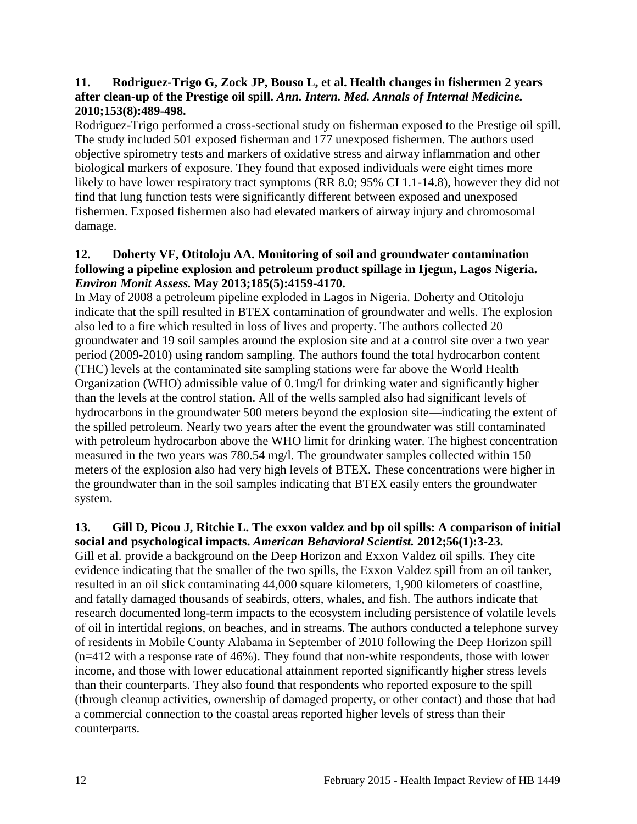#### **11. Rodriguez-Trigo G, Zock JP, Bouso L, et al. Health changes in fishermen 2 years after clean-up of the Prestige oil spill.** *Ann. Intern. Med. Annals of Internal Medicine.*  **2010;153(8):489-498.**

Rodriguez-Trigo performed a cross-sectional study on fisherman exposed to the Prestige oil spill. The study included 501 exposed fisherman and 177 unexposed fishermen. The authors used objective spirometry tests and markers of oxidative stress and airway inflammation and other biological markers of exposure. They found that exposed individuals were eight times more likely to have lower respiratory tract symptoms (RR 8.0; 95% CI 1.1-14.8), however they did not find that lung function tests were significantly different between exposed and unexposed fishermen. Exposed fishermen also had elevated markers of airway injury and chromosomal damage.

#### <span id="page-13-0"></span>**12. Doherty VF, Otitoloju AA. Monitoring of soil and groundwater contamination following a pipeline explosion and petroleum product spillage in Ijegun, Lagos Nigeria.**  *Environ Monit Assess.* **May 2013;185(5):4159-4170.**

In May of 2008 a petroleum pipeline exploded in Lagos in Nigeria. Doherty and Otitoloju indicate that the spill resulted in BTEX contamination of groundwater and wells. The explosion also led to a fire which resulted in loss of lives and property. The authors collected 20 groundwater and 19 soil samples around the explosion site and at a control site over a two year period (2009-2010) using random sampling. The authors found the total hydrocarbon content (THC) levels at the contaminated site sampling stations were far above the World Health Organization (WHO) admissible value of 0.1mg/l for drinking water and significantly higher than the levels at the control station. All of the wells sampled also had significant levels of hydrocarbons in the groundwater 500 meters beyond the explosion site—indicating the extent of the spilled petroleum. Nearly two years after the event the groundwater was still contaminated with petroleum hydrocarbon above the WHO limit for drinking water. The highest concentration measured in the two years was 780.54 mg/l. The groundwater samples collected within 150 meters of the explosion also had very high levels of BTEX. These concentrations were higher in the groundwater than in the soil samples indicating that BTEX easily enters the groundwater system.

#### <span id="page-13-1"></span>**13. Gill D, Picou J, Ritchie L. The exxon valdez and bp oil spills: A comparison of initial social and psychological impacts.** *American Behavioral Scientist.* **2012;56(1):3-23.**

Gill et al. provide a background on the Deep Horizon and Exxon Valdez oil spills. They cite evidence indicating that the smaller of the two spills, the Exxon Valdez spill from an oil tanker, resulted in an oil slick contaminating 44,000 square kilometers, 1,900 kilometers of coastline, and fatally damaged thousands of seabirds, otters, whales, and fish. The authors indicate that research documented long-term impacts to the ecosystem including persistence of volatile levels of oil in intertidal regions, on beaches, and in streams. The authors conducted a telephone survey of residents in Mobile County Alabama in September of 2010 following the Deep Horizon spill (n=412 with a response rate of 46%). They found that non-white respondents, those with lower income, and those with lower educational attainment reported significantly higher stress levels than their counterparts. They also found that respondents who reported exposure to the spill (through cleanup activities, ownership of damaged property, or other contact) and those that had a commercial connection to the coastal areas reported higher levels of stress than their counterparts.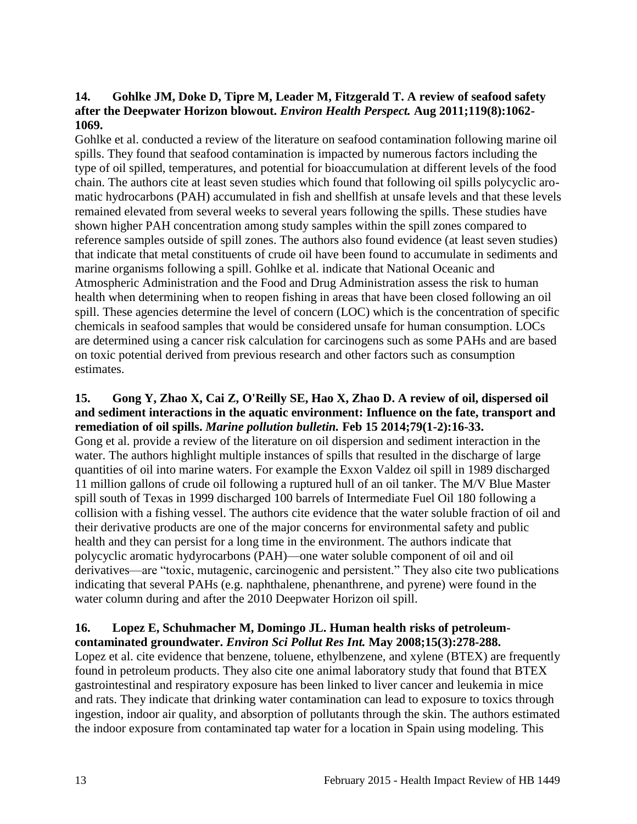### <span id="page-14-0"></span>**14. Gohlke JM, Doke D, Tipre M, Leader M, Fitzgerald T. A review of seafood safety after the Deepwater Horizon blowout.** *Environ Health Perspect.* **Aug 2011;119(8):1062- 1069.**

Gohlke et al. conducted a review of the literature on seafood contamination following marine oil spills. They found that seafood contamination is impacted by numerous factors including the type of oil spilled, temperatures, and potential for bioaccumulation at different levels of the food chain. The authors cite at least seven studies which found that following oil spills polycyclic aromatic hydrocarbons (PAH) accumulated in fish and shellfish at unsafe levels and that these levels remained elevated from several weeks to several years following the spills. These studies have shown higher PAH concentration among study samples within the spill zones compared to reference samples outside of spill zones. The authors also found evidence (at least seven studies) that indicate that metal constituents of crude oil have been found to accumulate in sediments and marine organisms following a spill. Gohlke et al. indicate that National Oceanic and Atmospheric Administration and the Food and Drug Administration assess the risk to human health when determining when to reopen fishing in areas that have been closed following an oil spill. These agencies determine the level of concern (LOC) which is the concentration of specific chemicals in seafood samples that would be considered unsafe for human consumption. LOCs are determined using a cancer risk calculation for carcinogens such as some PAHs and are based on toxic potential derived from previous research and other factors such as consumption estimates.

#### <span id="page-14-1"></span>**15. Gong Y, Zhao X, Cai Z, O'Reilly SE, Hao X, Zhao D. A review of oil, dispersed oil and sediment interactions in the aquatic environment: Influence on the fate, transport and remediation of oil spills.** *Marine pollution bulletin.* **Feb 15 2014;79(1-2):16-33.**

Gong et al. provide a review of the literature on oil dispersion and sediment interaction in the water. The authors highlight multiple instances of spills that resulted in the discharge of large quantities of oil into marine waters. For example the Exxon Valdez oil spill in 1989 discharged 11 million gallons of crude oil following a ruptured hull of an oil tanker. The M/V Blue Master spill south of Texas in 1999 discharged 100 barrels of Intermediate Fuel Oil 180 following a collision with a fishing vessel. The authors cite evidence that the water soluble fraction of oil and their derivative products are one of the major concerns for environmental safety and public health and they can persist for a long time in the environment. The authors indicate that polycyclic aromatic hydyrocarbons (PAH)—one water soluble component of oil and oil derivatives—are "toxic, mutagenic, carcinogenic and persistent." They also cite two publications indicating that several PAHs (e.g. naphthalene, phenanthrene, and pyrene) were found in the water column during and after the 2010 Deepwater Horizon oil spill.

## <span id="page-14-2"></span>**16. Lopez E, Schuhmacher M, Domingo JL. Human health risks of petroleumcontaminated groundwater.** *Environ Sci Pollut Res Int.* **May 2008;15(3):278-288.**

Lopez et al. cite evidence that benzene, toluene, ethylbenzene, and xylene (BTEX) are frequently found in petroleum products. They also cite one animal laboratory study that found that BTEX gastrointestinal and respiratory exposure has been linked to liver cancer and leukemia in mice and rats. They indicate that drinking water contamination can lead to exposure to toxics through ingestion, indoor air quality, and absorption of pollutants through the skin. The authors estimated the indoor exposure from contaminated tap water for a location in Spain using modeling. This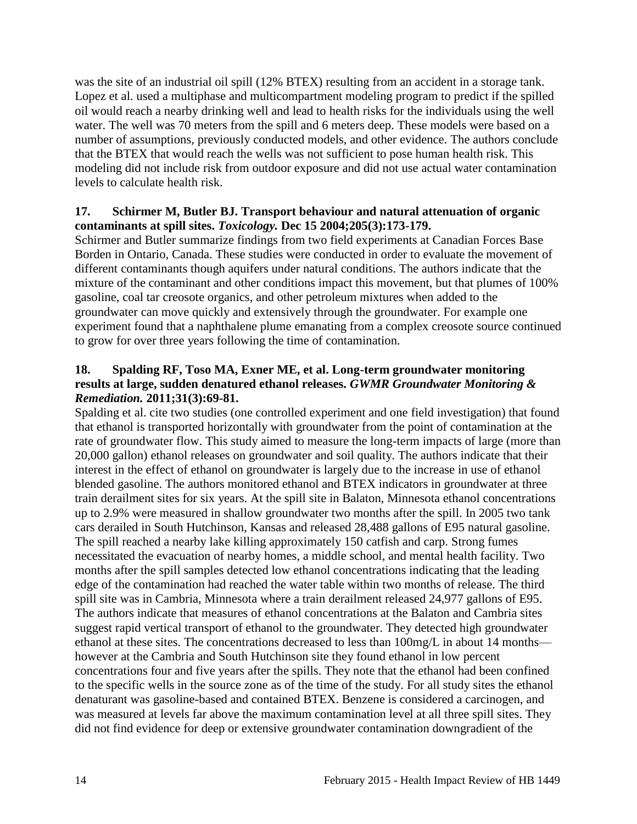was the site of an industrial oil spill (12% BTEX) resulting from an accident in a storage tank. Lopez et al. used a multiphase and multicompartment modeling program to predict if the spilled oil would reach a nearby drinking well and lead to health risks for the individuals using the well water. The well was 70 meters from the spill and 6 meters deep. These models were based on a number of assumptions, previously conducted models, and other evidence. The authors conclude that the BTEX that would reach the wells was not sufficient to pose human health risk. This modeling did not include risk from outdoor exposure and did not use actual water contamination levels to calculate health risk.

### **17. Schirmer M, Butler BJ. Transport behaviour and natural attenuation of organic contaminants at spill sites.** *Toxicology.* **Dec 15 2004;205(3):173-179.**

Schirmer and Butler summarize findings from two field experiments at Canadian Forces Base Borden in Ontario, Canada. These studies were conducted in order to evaluate the movement of different contaminants though aquifers under natural conditions. The authors indicate that the mixture of the contaminant and other conditions impact this movement, but that plumes of 100% gasoline, coal tar creosote organics, and other petroleum mixtures when added to the groundwater can move quickly and extensively through the groundwater. For example one experiment found that a naphthalene plume emanating from a complex creosote source continued to grow for over three years following the time of contamination.

#### **18. Spalding RF, Toso MA, Exner ME, et al. Long-term groundwater monitoring results at large, sudden denatured ethanol releases.** *GWMR Groundwater Monitoring & Remediation.* **2011;31(3):69-81.**

Spalding et al. cite two studies (one controlled experiment and one field investigation) that found that ethanol is transported horizontally with groundwater from the point of contamination at the rate of groundwater flow. This study aimed to measure the long-term impacts of large (more than 20,000 gallon) ethanol releases on groundwater and soil quality. The authors indicate that their interest in the effect of ethanol on groundwater is largely due to the increase in use of ethanol blended gasoline. The authors monitored ethanol and BTEX indicators in groundwater at three train derailment sites for six years. At the spill site in Balaton, Minnesota ethanol concentrations up to 2.9% were measured in shallow groundwater two months after the spill. In 2005 two tank cars derailed in South Hutchinson, Kansas and released 28,488 gallons of E95 natural gasoline. The spill reached a nearby lake killing approximately 150 catfish and carp. Strong fumes necessitated the evacuation of nearby homes, a middle school, and mental health facility. Two months after the spill samples detected low ethanol concentrations indicating that the leading edge of the contamination had reached the water table within two months of release. The third spill site was in Cambria, Minnesota where a train derailment released 24,977 gallons of E95. The authors indicate that measures of ethanol concentrations at the Balaton and Cambria sites suggest rapid vertical transport of ethanol to the groundwater. They detected high groundwater ethanol at these sites. The concentrations decreased to less than 100mg/L in about 14 months however at the Cambria and South Hutchinson site they found ethanol in low percent concentrations four and five years after the spills. They note that the ethanol had been confined to the specific wells in the source zone as of the time of the study. For all study sites the ethanol denaturant was gasoline-based and contained BTEX. Benzene is considered a carcinogen, and was measured at levels far above the maximum contamination level at all three spill sites. They did not find evidence for deep or extensive groundwater contamination downgradient of the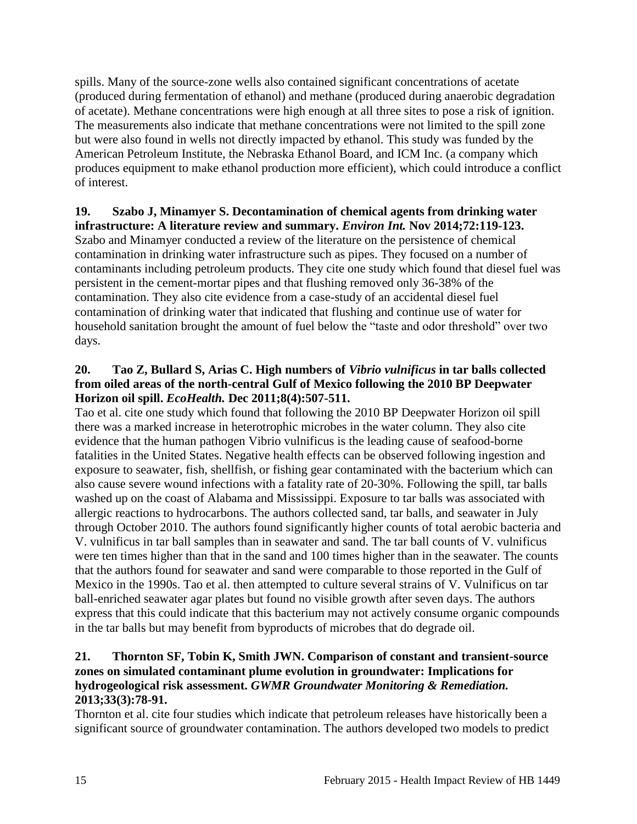spills. Many of the source-zone wells also contained significant concentrations of acetate (produced during fermentation of ethanol) and methane (produced during anaerobic degradation of acetate). Methane concentrations were high enough at all three sites to pose a risk of ignition. The measurements also indicate that methane concentrations were not limited to the spill zone but were also found in wells not directly impacted by ethanol. This study was funded by the American Petroleum Institute, the Nebraska Ethanol Board, and ICM Inc. (a company which produces equipment to make ethanol production more efficient), which could introduce a conflict of interest.

#### **19. Szabo J, Minamyer S. Decontamination of chemical agents from drinking water infrastructure: A literature review and summary.** *Environ Int.* **Nov 2014;72:119-123.**

Szabo and Minamyer conducted a review of the literature on the persistence of chemical contamination in drinking water infrastructure such as pipes. They focused on a number of contaminants including petroleum products. They cite one study which found that diesel fuel was persistent in the cement-mortar pipes and that flushing removed only 36-38% of the contamination. They also cite evidence from a case-study of an accidental diesel fuel contamination of drinking water that indicated that flushing and continue use of water for household sanitation brought the amount of fuel below the "taste and odor threshold" over two days.

#### **20. Tao Z, Bullard S, Arias C. High numbers of** *Vibrio vulnificus* **in tar balls collected from oiled areas of the north-central Gulf of Mexico following the 2010 BP Deepwater Horizon oil spill.** *EcoHealth.* **Dec 2011;8(4):507-511.**

Tao et al. cite one study which found that following the 2010 BP Deepwater Horizon oil spill there was a marked increase in heterotrophic microbes in the water column. They also cite evidence that the human pathogen Vibrio vulnificus is the leading cause of seafood-borne fatalities in the United States. Negative health effects can be observed following ingestion and exposure to seawater, fish, shellfish, or fishing gear contaminated with the bacterium which can also cause severe wound infections with a fatality rate of 20-30%. Following the spill, tar balls washed up on the coast of Alabama and Mississippi. Exposure to tar balls was associated with allergic reactions to hydrocarbons. The authors collected sand, tar balls, and seawater in July through October 2010. The authors found significantly higher counts of total aerobic bacteria and V. vulnificus in tar ball samples than in seawater and sand. The tar ball counts of V. vulnificus were ten times higher than that in the sand and 100 times higher than in the seawater. The counts that the authors found for seawater and sand were comparable to those reported in the Gulf of Mexico in the 1990s. Tao et al. then attempted to culture several strains of V. Vulnificus on tar ball-enriched seawater agar plates but found no visible growth after seven days. The authors express that this could indicate that this bacterium may not actively consume organic compounds in the tar balls but may benefit from byproducts of microbes that do degrade oil.

#### <span id="page-16-0"></span>**21. Thornton SF, Tobin K, Smith JWN. Comparison of constant and transient-source zones on simulated contaminant plume evolution in groundwater: Implications for hydrogeological risk assessment.** *GWMR Groundwater Monitoring & Remediation.*  **2013;33(3):78-91.**

Thornton et al. cite four studies which indicate that petroleum releases have historically been a significant source of groundwater contamination. The authors developed two models to predict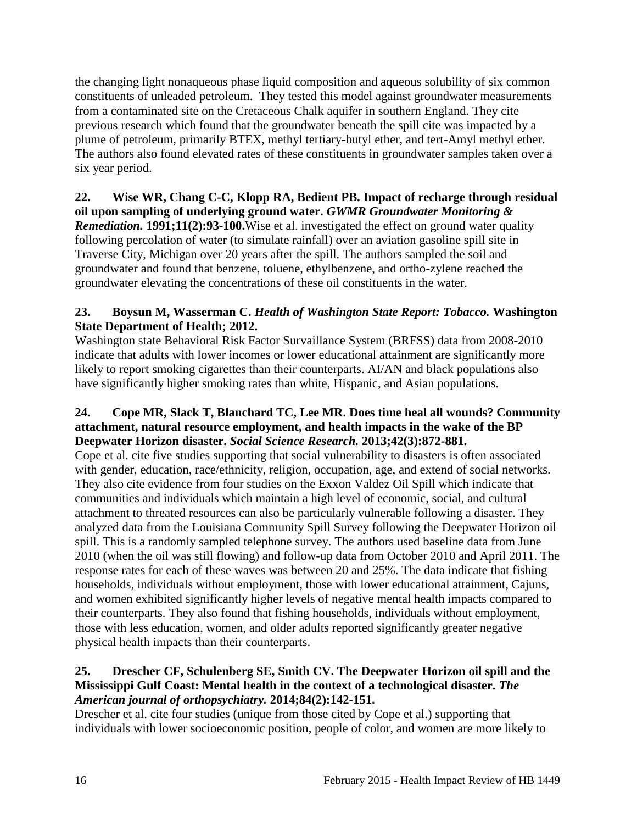the changing light nonaqueous phase liquid composition and aqueous solubility of six common constituents of unleaded petroleum. They tested this model against groundwater measurements from a contaminated site on the Cretaceous Chalk aquifer in southern England. They cite previous research which found that the groundwater beneath the spill cite was impacted by a plume of petroleum, primarily BTEX, methyl tertiary-butyl ether, and tert-Amyl methyl ether. The authors also found elevated rates of these constituents in groundwater samples taken over a six year period.

#### <span id="page-17-1"></span>**22. Wise WR, Chang C-C, Klopp RA, Bedient PB. Impact of recharge through residual oil upon sampling of underlying ground water.** *GWMR Groundwater Monitoring & Remediation.* **1991;11(2):93-100.**Wise et al. investigated the effect on ground water quality following percolation of water (to simulate rainfall) over an aviation gasoline spill site in Traverse City, Michigan over 20 years after the spill. The authors sampled the soil and groundwater and found that benzene, toluene, ethylbenzene, and ortho-zylene reached the groundwater elevating the concentrations of these oil constituents in the water.

## <span id="page-17-0"></span>**23. Boysun M, Wasserman C.** *Health of Washington State Report: Tobacco.* **Washington State Department of Health; 2012.**

Washington state Behavioral Risk Factor Survaillance System (BRFSS) data from 2008-2010 indicate that adults with lower incomes or lower educational attainment are significantly more likely to report smoking cigarettes than their counterparts. AI/AN and black populations also have significantly higher smoking rates than white, Hispanic, and Asian populations.

#### <span id="page-17-2"></span>**24. Cope MR, Slack T, Blanchard TC, Lee MR. Does time heal all wounds? Community attachment, natural resource employment, and health impacts in the wake of the BP Deepwater Horizon disaster.** *Social Science Research.* **2013;42(3):872-881.**

Cope et al. cite five studies supporting that social vulnerability to disasters is often associated with gender, education, race/ethnicity, religion, occupation, age, and extend of social networks. They also cite evidence from four studies on the Exxon Valdez Oil Spill which indicate that communities and individuals which maintain a high level of economic, social, and cultural attachment to threated resources can also be particularly vulnerable following a disaster. They analyzed data from the Louisiana Community Spill Survey following the Deepwater Horizon oil spill. This is a randomly sampled telephone survey. The authors used baseline data from June 2010 (when the oil was still flowing) and follow-up data from October 2010 and April 2011. The response rates for each of these waves was between 20 and 25%. The data indicate that fishing households, individuals without employment, those with lower educational attainment, Cajuns, and women exhibited significantly higher levels of negative mental health impacts compared to their counterparts. They also found that fishing households, individuals without employment, those with less education, women, and older adults reported significantly greater negative physical health impacts than their counterparts.

#### **25. Drescher CF, Schulenberg SE, Smith CV. The Deepwater Horizon oil spill and the Mississippi Gulf Coast: Mental health in the context of a technological disaster.** *The American journal of orthopsychiatry.* **2014;84(2):142-151.**

Drescher et al. cite four studies (unique from those cited by Cope et al.) supporting that individuals with lower socioeconomic position, people of color, and women are more likely to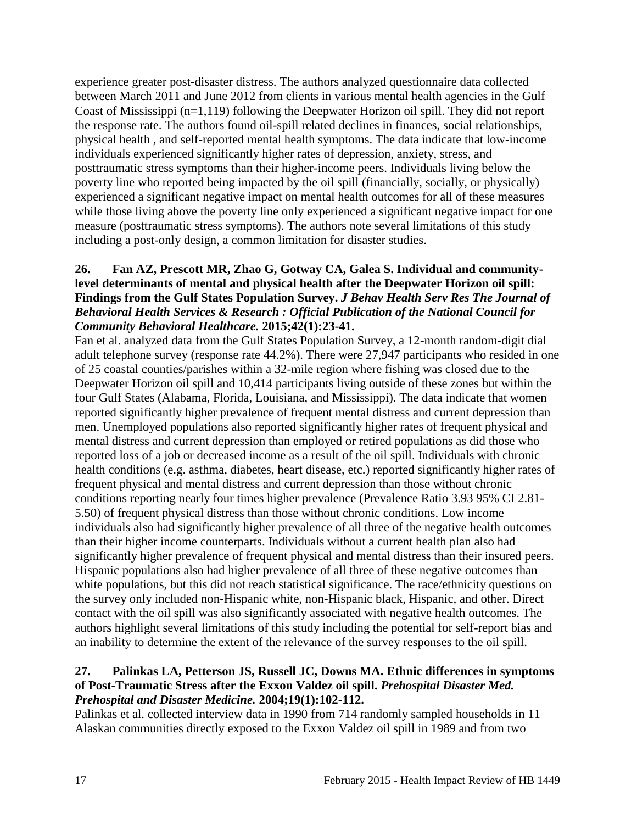experience greater post-disaster distress. The authors analyzed questionnaire data collected between March 2011 and June 2012 from clients in various mental health agencies in the Gulf Coast of Mississippi (n=1,119) following the Deepwater Horizon oil spill. They did not report the response rate. The authors found oil-spill related declines in finances, social relationships, physical health , and self-reported mental health symptoms. The data indicate that low-income individuals experienced significantly higher rates of depression, anxiety, stress, and posttraumatic stress symptoms than their higher-income peers. Individuals living below the poverty line who reported being impacted by the oil spill (financially, socially, or physically) experienced a significant negative impact on mental health outcomes for all of these measures while those living above the poverty line only experienced a significant negative impact for one measure (posttraumatic stress symptoms). The authors note several limitations of this study including a post-only design, a common limitation for disaster studies.

## **26. Fan AZ, Prescott MR, Zhao G, Gotway CA, Galea S. Individual and communitylevel determinants of mental and physical health after the Deepwater Horizon oil spill: Findings from the Gulf States Population Survey.** *J Behav Health Serv Res The Journal of Behavioral Health Services & Research : Official Publication of the National Council for Community Behavioral Healthcare.* **2015;42(1):23-41.**

Fan et al. analyzed data from the Gulf States Population Survey, a 12-month random-digit dial adult telephone survey (response rate 44.2%). There were 27,947 participants who resided in one of 25 coastal counties/parishes within a 32-mile region where fishing was closed due to the Deepwater Horizon oil spill and 10,414 participants living outside of these zones but within the four Gulf States (Alabama, Florida, Louisiana, and Mississippi). The data indicate that women reported significantly higher prevalence of frequent mental distress and current depression than men. Unemployed populations also reported significantly higher rates of frequent physical and mental distress and current depression than employed or retired populations as did those who reported loss of a job or decreased income as a result of the oil spill. Individuals with chronic health conditions (e.g. asthma, diabetes, heart disease, etc.) reported significantly higher rates of frequent physical and mental distress and current depression than those without chronic conditions reporting nearly four times higher prevalence (Prevalence Ratio 3.93 95% CI 2.81- 5.50) of frequent physical distress than those without chronic conditions. Low income individuals also had significantly higher prevalence of all three of the negative health outcomes than their higher income counterparts. Individuals without a current health plan also had significantly higher prevalence of frequent physical and mental distress than their insured peers. Hispanic populations also had higher prevalence of all three of these negative outcomes than white populations, but this did not reach statistical significance. The race/ethnicity questions on the survey only included non-Hispanic white, non-Hispanic black, Hispanic, and other. Direct contact with the oil spill was also significantly associated with negative health outcomes. The authors highlight several limitations of this study including the potential for self-report bias and an inability to determine the extent of the relevance of the survey responses to the oil spill.

#### <span id="page-18-0"></span>**27. Palinkas LA, Petterson JS, Russell JC, Downs MA. Ethnic differences in symptoms of Post-Traumatic Stress after the Exxon Valdez oil spill.** *Prehospital Disaster Med. Prehospital and Disaster Medicine.* **2004;19(1):102-112.**

Palinkas et al. collected interview data in 1990 from 714 randomly sampled households in 11 Alaskan communities directly exposed to the Exxon Valdez oil spill in 1989 and from two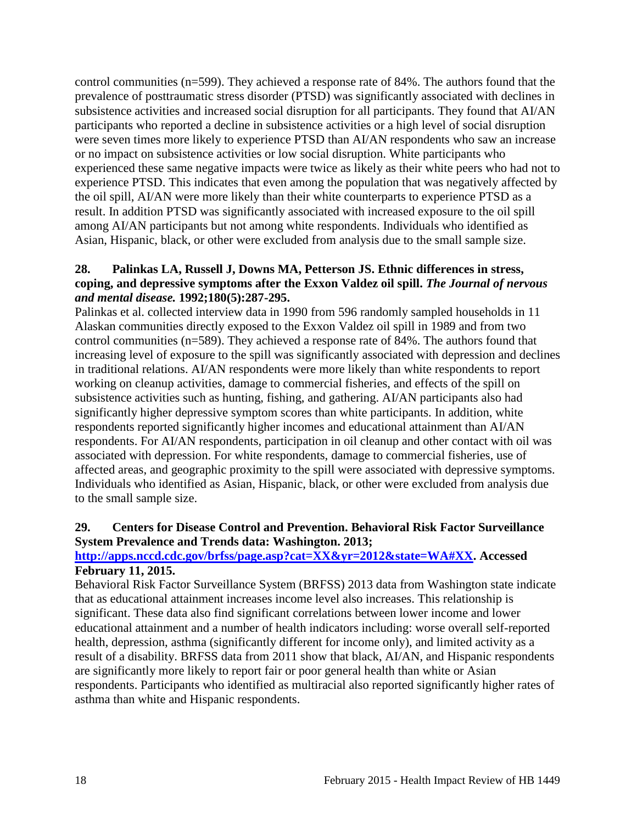control communities (n=599). They achieved a response rate of 84%. The authors found that the prevalence of posttraumatic stress disorder (PTSD) was significantly associated with declines in subsistence activities and increased social disruption for all participants. They found that AI/AN participants who reported a decline in subsistence activities or a high level of social disruption were seven times more likely to experience PTSD than AI/AN respondents who saw an increase or no impact on subsistence activities or low social disruption. White participants who experienced these same negative impacts were twice as likely as their white peers who had not to experience PTSD. This indicates that even among the population that was negatively affected by the oil spill, AI/AN were more likely than their white counterparts to experience PTSD as a result. In addition PTSD was significantly associated with increased exposure to the oil spill among AI/AN participants but not among white respondents. Individuals who identified as Asian, Hispanic, black, or other were excluded from analysis due to the small sample size.

#### <span id="page-19-0"></span>**28. Palinkas LA, Russell J, Downs MA, Petterson JS. Ethnic differences in stress, coping, and depressive symptoms after the Exxon Valdez oil spill.** *The Journal of nervous and mental disease.* **1992;180(5):287-295.**

Palinkas et al. collected interview data in 1990 from 596 randomly sampled households in 11 Alaskan communities directly exposed to the Exxon Valdez oil spill in 1989 and from two control communities (n=589). They achieved a response rate of 84%. The authors found that increasing level of exposure to the spill was significantly associated with depression and declines in traditional relations. AI/AN respondents were more likely than white respondents to report working on cleanup activities, damage to commercial fisheries, and effects of the spill on subsistence activities such as hunting, fishing, and gathering. AI/AN participants also had significantly higher depressive symptom scores than white participants. In addition, white respondents reported significantly higher incomes and educational attainment than AI/AN respondents. For AI/AN respondents, participation in oil cleanup and other contact with oil was associated with depression. For white respondents, damage to commercial fisheries, use of affected areas, and geographic proximity to the spill were associated with depressive symptoms. Individuals who identified as Asian, Hispanic, black, or other were excluded from analysis due to the small sample size.

## <span id="page-19-1"></span>**29. Centers for Disease Control and Prevention. Behavioral Risk Factor Surveillance System Prevalence and Trends data: Washington. 2013;**

## **[http://apps.nccd.cdc.gov/brfss/page.asp?cat=XX&yr=2012&state=WA#XX.](http://apps.nccd.cdc.gov/brfss/page.asp?cat=XX&yr=2012&state=WA#XX) Accessed February 11, 2015.**

Behavioral Risk Factor Surveillance System (BRFSS) 2013 data from Washington state indicate that as educational attainment increases income level also increases. This relationship is significant. These data also find significant correlations between lower income and lower educational attainment and a number of health indicators including: worse overall self-reported health, depression, asthma (significantly different for income only), and limited activity as a result of a disability. BRFSS data from 2011 show that black, AI/AN, and Hispanic respondents are significantly more likely to report fair or poor general health than white or Asian respondents. Participants who identified as multiracial also reported significantly higher rates of asthma than white and Hispanic respondents.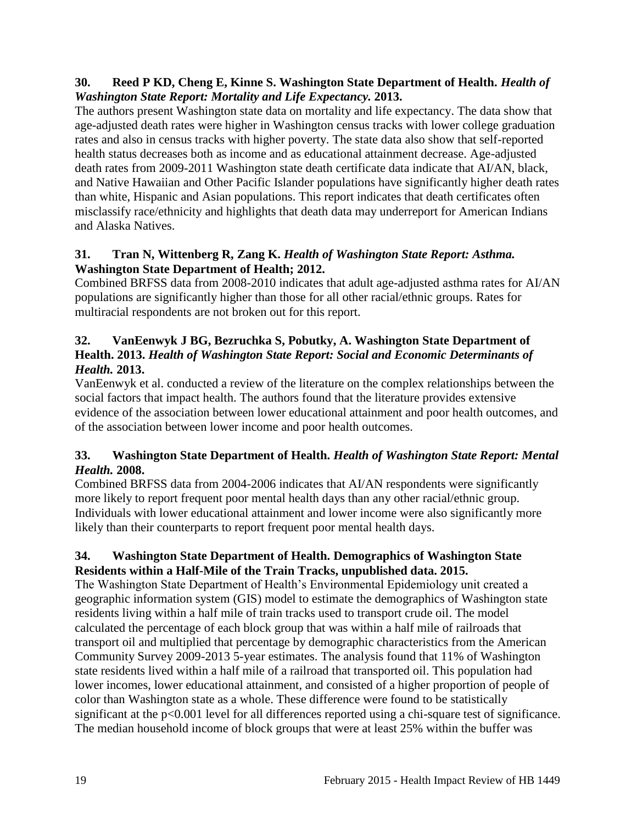## **30. Reed P KD, Cheng E, Kinne S. Washington State Department of Health.** *Health of Washington State Report: Mortality and Life Expectancy.* **2013.**

The authors present Washington state data on mortality and life expectancy. The data show that age-adjusted death rates were higher in Washington census tracks with lower college graduation rates and also in census tracks with higher poverty. The state data also show that self-reported health status decreases both as income and as educational attainment decrease. Age-adjusted death rates from 2009-2011 Washington state death certificate data indicate that AI/AN, black, and Native Hawaiian and Other Pacific Islander populations have significantly higher death rates than white, Hispanic and Asian populations. This report indicates that death certificates often misclassify race/ethnicity and highlights that death data may underreport for American Indians and Alaska Natives.

## **31. Tran N, Wittenberg R, Zang K.** *Health of Washington State Report: Asthma.* **Washington State Department of Health; 2012.**

Combined BRFSS data from 2008-2010 indicates that adult age-adjusted asthma rates for AI/AN populations are significantly higher than those for all other racial/ethnic groups. Rates for multiracial respondents are not broken out for this report.

## **32. VanEenwyk J BG, Bezruchka S, Pobutky, A. Washington State Department of Health. 2013.** *Health of Washington State Report: Social and Economic Determinants of Health.* **2013.**

VanEenwyk et al. conducted a review of the literature on the complex relationships between the social factors that impact health. The authors found that the literature provides extensive evidence of the association between lower educational attainment and poor health outcomes, and of the association between lower income and poor health outcomes.

## **33. Washington State Department of Health.** *Health of Washington State Report: Mental Health.* **2008.**

Combined BRFSS data from 2004-2006 indicates that AI/AN respondents were significantly more likely to report frequent poor mental health days than any other racial/ethnic group. Individuals with lower educational attainment and lower income were also significantly more likely than their counterparts to report frequent poor mental health days.

## <span id="page-20-0"></span>**34. Washington State Department of Health. Demographics of Washington State Residents within a Half-Mile of the Train Tracks, unpublished data. 2015.**

The Washington State Department of Health's Environmental Epidemiology unit created a geographic information system (GIS) model to estimate the demographics of Washington state residents living within a half mile of train tracks used to transport crude oil. The model calculated the percentage of each block group that was within a half mile of railroads that transport oil and multiplied that percentage by demographic characteristics from the American Community Survey 2009-2013 5-year estimates. The analysis found that 11% of Washington state residents lived within a half mile of a railroad that transported oil. This population had lower incomes, lower educational attainment, and consisted of a higher proportion of people of color than Washington state as a whole. These difference were found to be statistically significant at the p<0.001 level for all differences reported using a chi-square test of significance. The median household income of block groups that were at least 25% within the buffer was